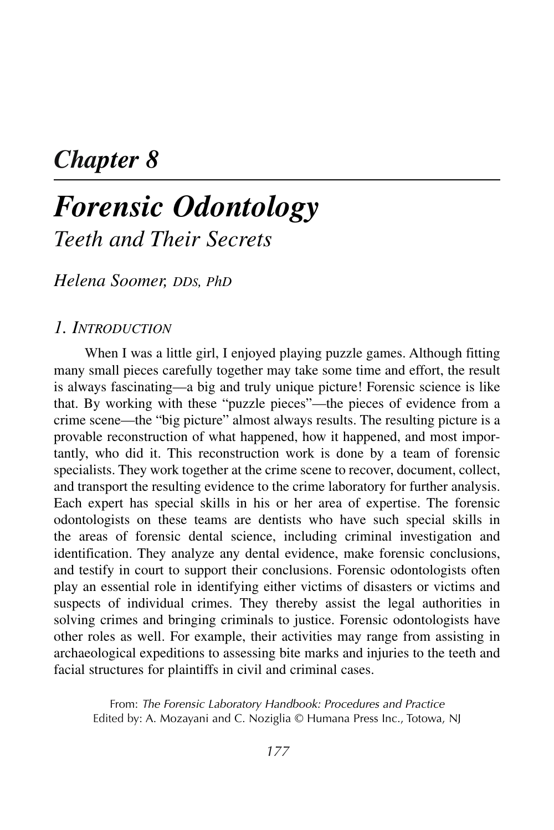# *Chapter 8*

# *Forensic Odontology Teeth and Their Secrets*

*Helena Soomer, DDS, PhD*

#### *1. INTRODUCTION*

When I was a little girl, I enjoyed playing puzzle games. Although fitting many small pieces carefully together may take some time and effort, the result is always fascinating—a big and truly unique picture! Forensic science is like that. By working with these "puzzle pieces"—the pieces of evidence from a crime scene—the "big picture" almost always results. The resulting picture is a provable reconstruction of what happened, how it happened, and most importantly, who did it. This reconstruction work is done by a team of forensic specialists. They work together at the crime scene to recover, document, collect, and transport the resulting evidence to the crime laboratory for further analysis. Each expert has special skills in his or her area of expertise. The forensic odontologists on these teams are dentists who have such special skills in the areas of forensic dental science, including criminal investigation and identification. They analyze any dental evidence, make forensic conclusions, and testify in court to support their conclusions. Forensic odontologists often play an essential role in identifying either victims of disasters or victims and suspects of individual crimes. They thereby assist the legal authorities in solving crimes and bringing criminals to justice. Forensic odontologists have other roles as well. For example, their activities may range from assisting in archaeological expeditions to assessing bite marks and injuries to the teeth and facial structures for plaintiffs in civil and criminal cases.

From: The Forensic Laboratory Handbook: Procedures and Practice Edited by: A. Mozayani and C. Noziglia © Humana Press Inc., Totowa, NJ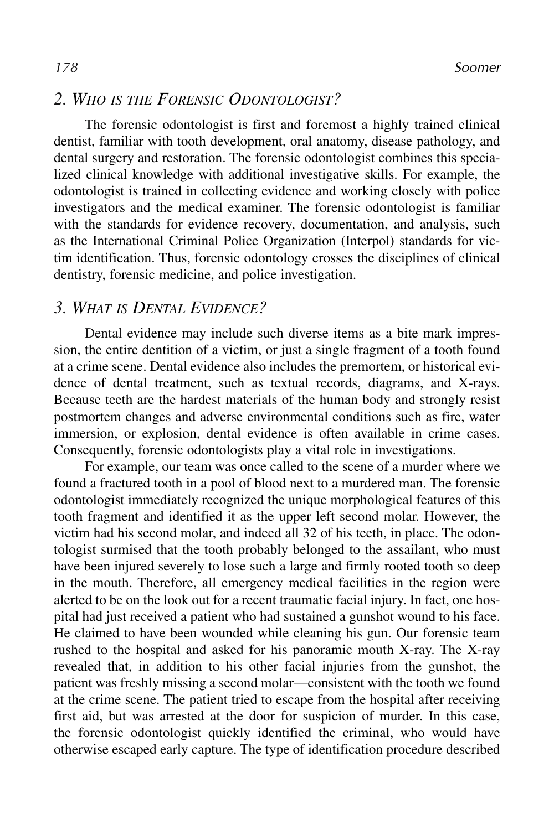# *2. WHO IS THE FORENSIC ODONTOLOGIST?*

The forensic odontologist is first and foremost a highly trained clinical dentist, familiar with tooth development, oral anatomy, disease pathology, and dental surgery and restoration. The forensic odontologist combines this specialized clinical knowledge with additional investigative skills. For example, the odontologist is trained in collecting evidence and working closely with police investigators and the medical examiner. The forensic odontologist is familiar with the standards for evidence recovery, documentation, and analysis, such as the International Criminal Police Organization (Interpol) standards for victim identification. Thus, forensic odontology crosses the disciplines of clinical dentistry, forensic medicine, and police investigation.

#### *3. WHAT IS DENTAL EVIDENCE?*

Dental evidence may include such diverse items as a bite mark impression, the entire dentition of a victim, or just a single fragment of a tooth found at a crime scene. Dental evidence also includes the premortem, or historical evidence of dental treatment, such as textual records, diagrams, and X-rays. Because teeth are the hardest materials of the human body and strongly resist postmortem changes and adverse environmental conditions such as fire, water immersion, or explosion, dental evidence is often available in crime cases. Consequently, forensic odontologists play a vital role in investigations.

For example, our team was once called to the scene of a murder where we found a fractured tooth in a pool of blood next to a murdered man. The forensic odontologist immediately recognized the unique morphological features of this tooth fragment and identified it as the upper left second molar. However, the victim had his second molar, and indeed all 32 of his teeth, in place. The odontologist surmised that the tooth probably belonged to the assailant, who must have been injured severely to lose such a large and firmly rooted tooth so deep in the mouth. Therefore, all emergency medical facilities in the region were alerted to be on the look out for a recent traumatic facial injury. In fact, one hospital had just received a patient who had sustained a gunshot wound to his face. He claimed to have been wounded while cleaning his gun. Our forensic team rushed to the hospital and asked for his panoramic mouth X-ray. The X-ray revealed that, in addition to his other facial injuries from the gunshot, the patient was freshly missing a second molar—consistent with the tooth we found at the crime scene. The patient tried to escape from the hospital after receiving first aid, but was arrested at the door for suspicion of murder. In this case, the forensic odontologist quickly identified the criminal, who would have otherwise escaped early capture. The type of identification procedure described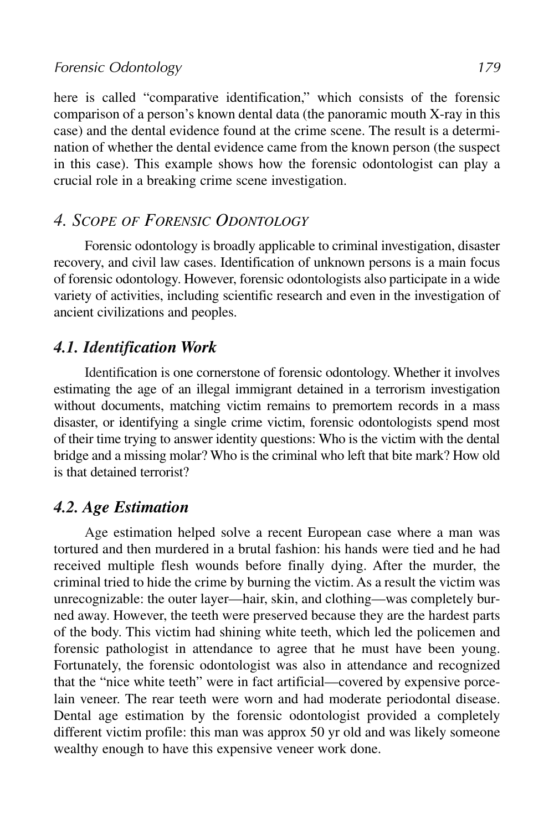here is called "comparative identification," which consists of the forensic comparison of a person's known dental data (the panoramic mouth X-ray in this case) and the dental evidence found at the crime scene. The result is a determination of whether the dental evidence came from the known person (the suspect in this case). This example shows how the forensic odontologist can play a crucial role in a breaking crime scene investigation.

## *4. SCOPE OF FORENSIC ODONTOLOGY*

Forensic odontology is broadly applicable to criminal investigation, disaster recovery, and civil law cases. Identification of unknown persons is a main focus of forensic odontology. However, forensic odontologists also participate in a wide variety of activities, including scientific research and even in the investigation of ancient civilizations and peoples.

## *4.1. Identification Work*

Identification is one cornerstone of forensic odontology. Whether it involves estimating the age of an illegal immigrant detained in a terrorism investigation without documents, matching victim remains to premortem records in a mass disaster, or identifying a single crime victim, forensic odontologists spend most of their time trying to answer identity questions: Who is the victim with the dental bridge and a missing molar? Who is the criminal who left that bite mark? How old is that detained terrorist?

#### *4.2. Age Estimation*

Age estimation helped solve a recent European case where a man was tortured and then murdered in a brutal fashion: his hands were tied and he had received multiple flesh wounds before finally dying. After the murder, the criminal tried to hide the crime by burning the victim. As a result the victim was unrecognizable: the outer layer—hair, skin, and clothing—was completely burned away. However, the teeth were preserved because they are the hardest parts of the body. This victim had shining white teeth, which led the policemen and forensic pathologist in attendance to agree that he must have been young. Fortunately, the forensic odontologist was also in attendance and recognized that the "nice white teeth" were in fact artificial—covered by expensive porcelain veneer. The rear teeth were worn and had moderate periodontal disease. Dental age estimation by the forensic odontologist provided a completely different victim profile: this man was approx 50 yr old and was likely someone wealthy enough to have this expensive veneer work done.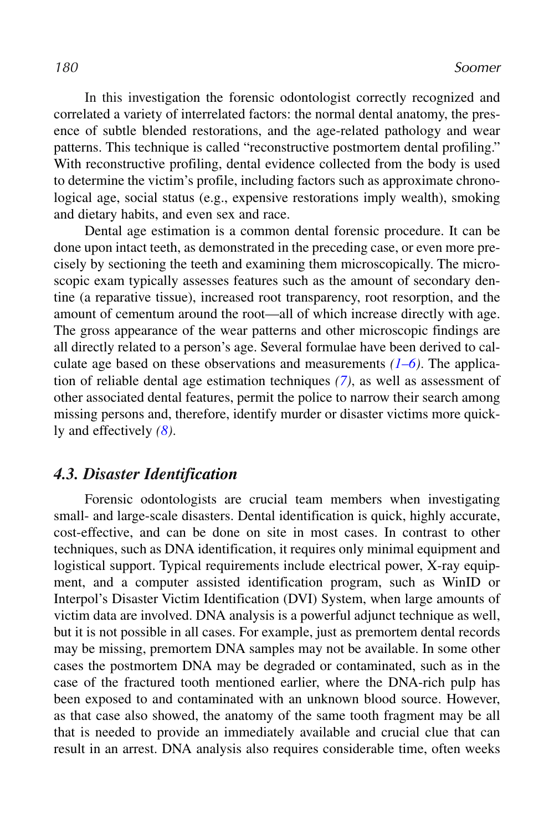In this investigation the forensic odontologist correctly recognized and correlated a variety of interrelated factors: the normal dental anatomy, the presence of subtle blended restorations, and the age-related pathology and wear patterns. This technique is called "reconstructive postmortem dental profiling." With reconstructive profiling, dental evidence collected from the body is used to determine the victim's profile, including factors such as approximate chronological age, social status (e.g., expensive restorations imply wealth), smoking and dietary habits, and even sex and race.

Dental age estimation is a common dental forensic procedure. It can be done upon intact teeth, as demonstrated in the preceding case, or even more precisely by sectioning the teeth and examining them microscopically. The microscopic exam typically assesses features such as the amount of secondary dentine (a reparative tissue), increased root transparency, root resorption, and the amount of cementum around the root—all of which increase directly with age. The gross appearance of the wear patterns and other microscopic findings are all directly related to a person's age. Several formulae have been derived to calculate age based on these observations and measurements *(1*–*6)*. The application of reliable dental age estimation techniques *(7)*, as well as assessment of other associated dental features, permit the police to narrow their search among missing persons and, therefore, identify murder or disaster victims more quickly and effectively *(8)*.

## *4.3. Disaster Identification*

Forensic odontologists are crucial team members when investigating small- and large-scale disasters. Dental identification is quick, highly accurate, cost-effective, and can be done on site in most cases. In contrast to other techniques, such as DNA identification, it requires only minimal equipment and logistical support. Typical requirements include electrical power, X-ray equipment, and a computer assisted identification program, such as WinID or Interpol's Disaster Victim Identification (DVI) System, when large amounts of victim data are involved. DNA analysis is a powerful adjunct technique as well, but it is not possible in all cases. For example, just as premortem dental records may be missing, premortem DNA samples may not be available. In some other cases the postmortem DNA may be degraded or contaminated, such as in the case of the fractured tooth mentioned earlier, where the DNA-rich pulp has been exposed to and contaminated with an unknown blood source. However, as that case also showed, the anatomy of the same tooth fragment may be all that is needed to provide an immediately available and crucial clue that can result in an arrest. DNA analysis also requires considerable time, often weeks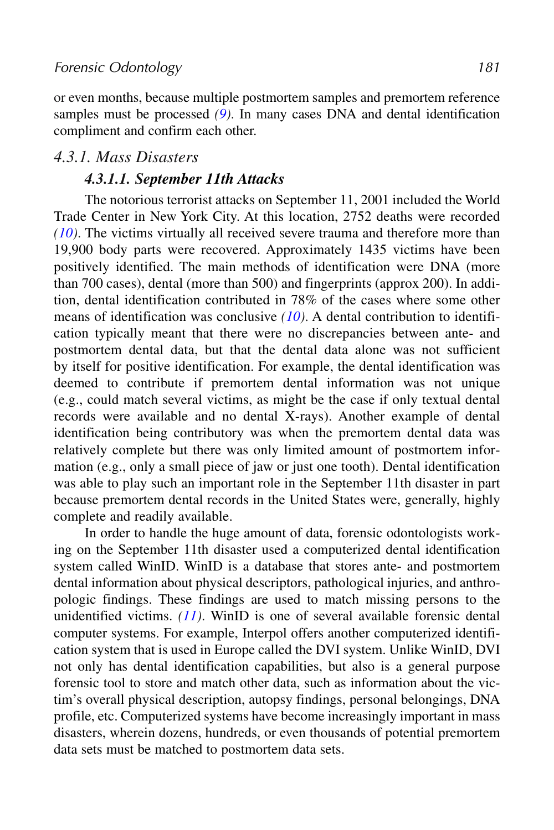or even months, because multiple postmortem samples and premortem reference samples must be processed *(9)*. In many cases DNA and dental identification compliment and confirm each other.

#### *4.3.1. Mass Disasters*

#### *4.3.1.1. September 11th Attacks*

The notorious terrorist attacks on September 11, 2001 included the World Trade Center in New York City. At this location, 2752 deaths were recorded *(10)*. The victims virtually all received severe trauma and therefore more than 19,900 body parts were recovered. Approximately 1435 victims have been positively identified. The main methods of identification were DNA (more than 700 cases), dental (more than 500) and fingerprints (approx 200). In addition, dental identification contributed in 78% of the cases where some other means of identification was conclusive *(10)*. A dental contribution to identification typically meant that there were no discrepancies between ante- and postmortem dental data, but that the dental data alone was not sufficient by itself for positive identification. For example, the dental identification was deemed to contribute if premortem dental information was not unique (e.g., could match several victims, as might be the case if only textual dental records were available and no dental X-rays). Another example of dental identification being contributory was when the premortem dental data was relatively complete but there was only limited amount of postmortem information (e.g., only a small piece of jaw or just one tooth). Dental identification was able to play such an important role in the September 11th disaster in part because premortem dental records in the United States were, generally, highly complete and readily available.

In order to handle the huge amount of data, forensic odontologists working on the September 11th disaster used a computerized dental identification system called WinID. WinID is a database that stores ante- and postmortem dental information about physical descriptors, pathological injuries, and anthropologic findings. These findings are used to match missing persons to the unidentified victims. *(11)*. WinID is one of several available forensic dental computer systems. For example, Interpol offers another computerized identification system that is used in Europe called the DVI system. Unlike WinID, DVI not only has dental identification capabilities, but also is a general purpose forensic tool to store and match other data, such as information about the victim's overall physical description, autopsy findings, personal belongings, DNA profile, etc. Computerized systems have become increasingly important in mass disasters, wherein dozens, hundreds, or even thousands of potential premortem data sets must be matched to postmortem data sets.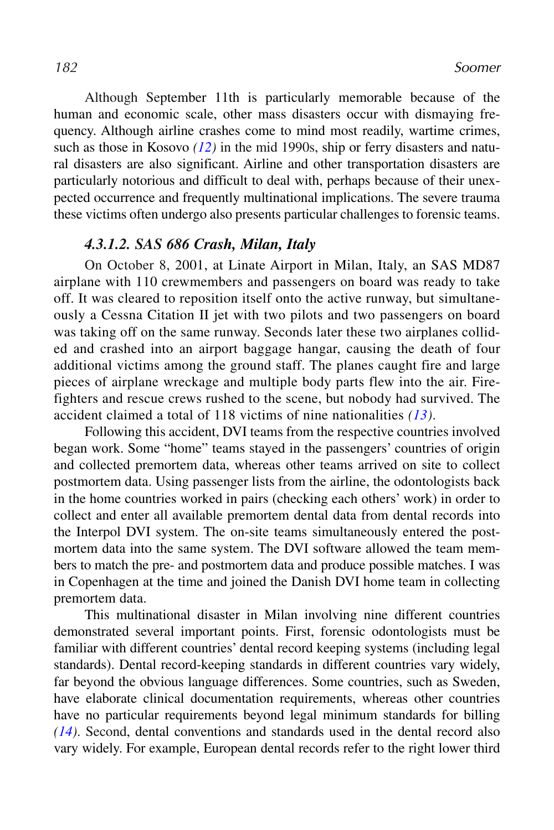Although September 11th is particularly memorable because of the human and economic scale, other mass disasters occur with dismaying frequency. Although airline crashes come to mind most readily, wartime crimes, such as those in Kosovo *(12)* in the mid 1990s, ship or ferry disasters and natural disasters are also significant. Airline and other transportation disasters are particularly notorious and difficult to deal with, perhaps because of their unexpected occurrence and frequently multinational implications. The severe trauma these victims often undergo also presents particular challenges to forensic teams.

#### *4.3.1.2. SAS 686 Crash, Milan, Italy*

On October 8, 2001, at Linate Airport in Milan, Italy, an SAS MD87 airplane with 110 crewmembers and passengers on board was ready to take off. It was cleared to reposition itself onto the active runway, but simultaneously a Cessna Citation II jet with two pilots and two passengers on board was taking off on the same runway. Seconds later these two airplanes collided and crashed into an airport baggage hangar, causing the death of four additional victims among the ground staff. The planes caught fire and large pieces of airplane wreckage and multiple body parts flew into the air. Firefighters and rescue crews rushed to the scene, but nobody had survived. The accident claimed a total of 118 victims of nine nationalities *(13)*.

Following this accident, DVI teams from the respective countries involved began work. Some "home" teams stayed in the passengers' countries of origin and collected premortem data, whereas other teams arrived on site to collect postmortem data. Using passenger lists from the airline, the odontologists back in the home countries worked in pairs (checking each others' work) in order to collect and enter all available premortem dental data from dental records into the Interpol DVI system. The on-site teams simultaneously entered the postmortem data into the same system. The DVI software allowed the team members to match the pre- and postmortem data and produce possible matches. I was in Copenhagen at the time and joined the Danish DVI home team in collecting premortem data.

This multinational disaster in Milan involving nine different countries demonstrated several important points. First, forensic odontologists must be familiar with different countries' dental record keeping systems (including legal standards). Dental record-keeping standards in different countries vary widely, far beyond the obvious language differences. Some countries, such as Sweden, have elaborate clinical documentation requirements, whereas other countries have no particular requirements beyond legal minimum standards for billing *(14)*. Second, dental conventions and standards used in the dental record also vary widely. For example, European dental records refer to the right lower third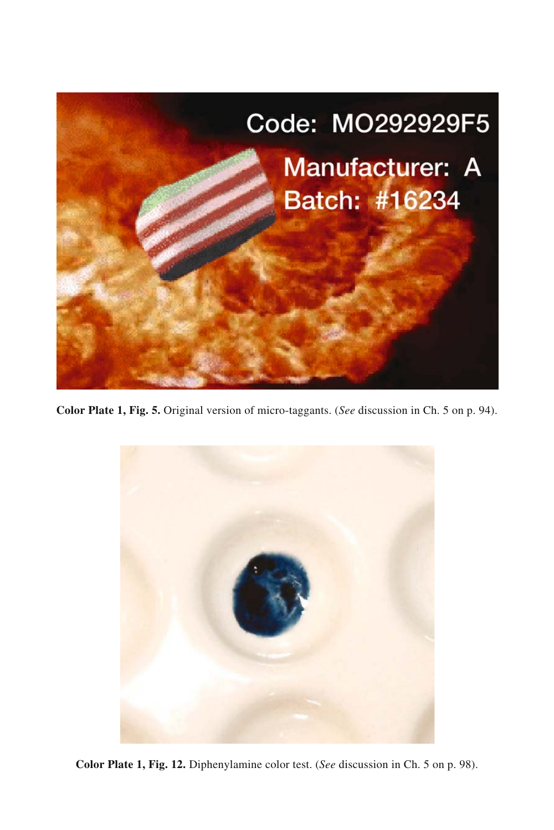

**Color Plate 1, Fig. 5.** Original version of micro-taggants. (*See* discussion in Ch. 5 on p. 94).



**Color Plate 1, Fig. 12.** Diphenylamine color test. (*See* discussion in Ch. 5 on p. 98).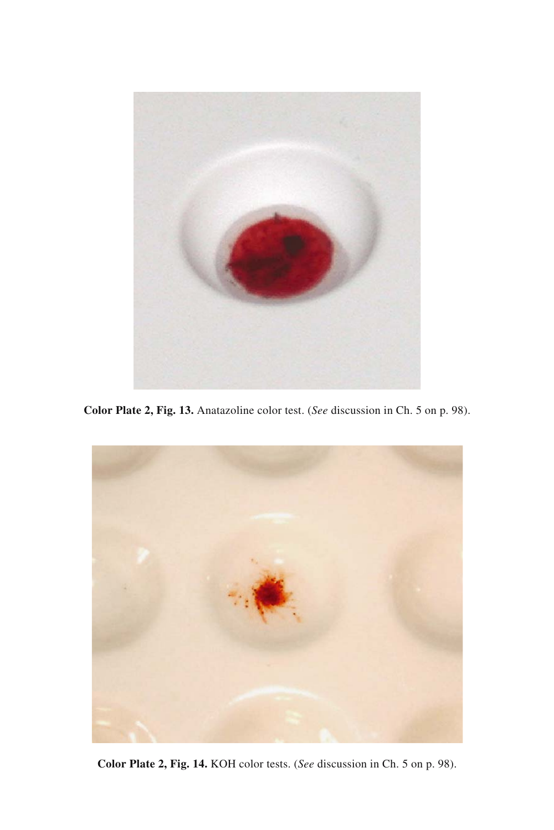

**Color Plate 2, Fig. 13.** Anatazoline color test. (*See* discussion in Ch. 5 on p. 98).



**Color Plate 2, Fig. 14.** KOH color tests. (*See* discussion in Ch. 5 on p. 98).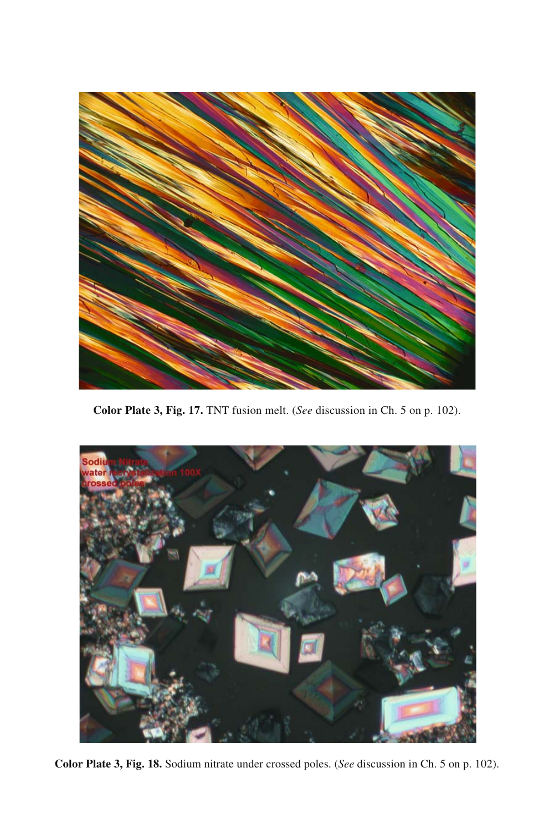

**Color Plate 3, Fig. 17.** TNT fusion melt. (*See* discussion in Ch. 5 on p. 102).



**Color Plate 3, Fig. 18.** Sodium nitrate under crossed poles. (*See* discussion in Ch. 5 on p. 102).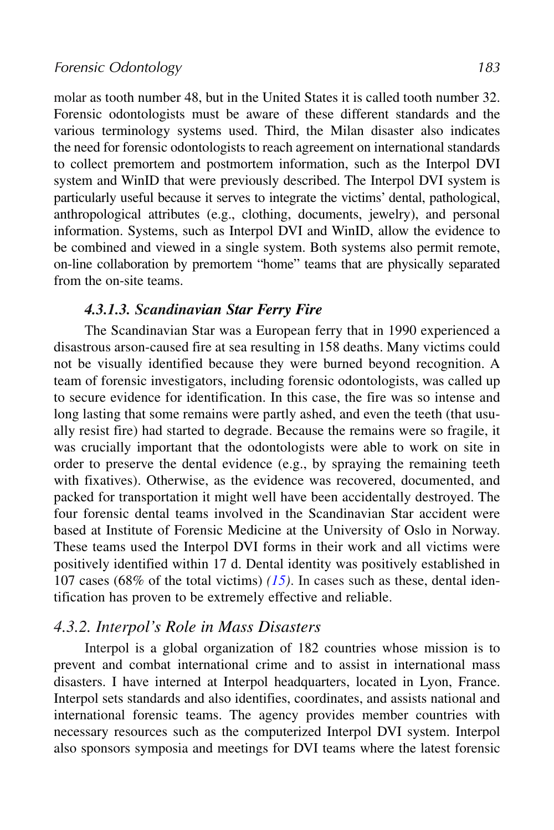molar as tooth number 48, but in the United States it is called tooth number 32. Forensic odontologists must be aware of these different standards and the various terminology systems used. Third, the Milan disaster also indicates the need for forensic odontologists to reach agreement on international standards to collect premortem and postmortem information, such as the Interpol DVI system and WinID that were previously described. The Interpol DVI system is particularly useful because it serves to integrate the victims' dental, pathological, anthropological attributes (e.g., clothing, documents, jewelry), and personal information. Systems, such as Interpol DVI and WinID, allow the evidence to be combined and viewed in a single system. Both systems also permit remote, on-line collaboration by premortem "home" teams that are physically separated from the on-site teams.

#### *4.3.1.3. Scandinavian Star Ferry Fire*

The Scandinavian Star was a European ferry that in 1990 experienced a disastrous arson-caused fire at sea resulting in 158 deaths. Many victims could not be visually identified because they were burned beyond recognition. A team of forensic investigators, including forensic odontologists, was called up to secure evidence for identification. In this case, the fire was so intense and long lasting that some remains were partly ashed, and even the teeth (that usually resist fire) had started to degrade. Because the remains were so fragile, it was crucially important that the odontologists were able to work on site in order to preserve the dental evidence (e.g., by spraying the remaining teeth with fixatives). Otherwise, as the evidence was recovered, documented, and packed for transportation it might well have been accidentally destroyed. The four forensic dental teams involved in the Scandinavian Star accident were based at Institute of Forensic Medicine at the University of Oslo in Norway. These teams used the Interpol DVI forms in their work and all victims were positively identified within 17 d. Dental identity was positively established in 107 cases (68% of the total victims) *(15)*. In cases such as these, dental identification has proven to be extremely effective and reliable.

#### *4.3.2. Interpol's Role in Mass Disasters*

Interpol is a global organization of 182 countries whose mission is to prevent and combat international crime and to assist in international mass disasters. I have interned at Interpol headquarters, located in Lyon, France. Interpol sets standards and also identifies, coordinates, and assists national and international forensic teams. The agency provides member countries with necessary resources such as the computerized Interpol DVI system. Interpol also sponsors symposia and meetings for DVI teams where the latest forensic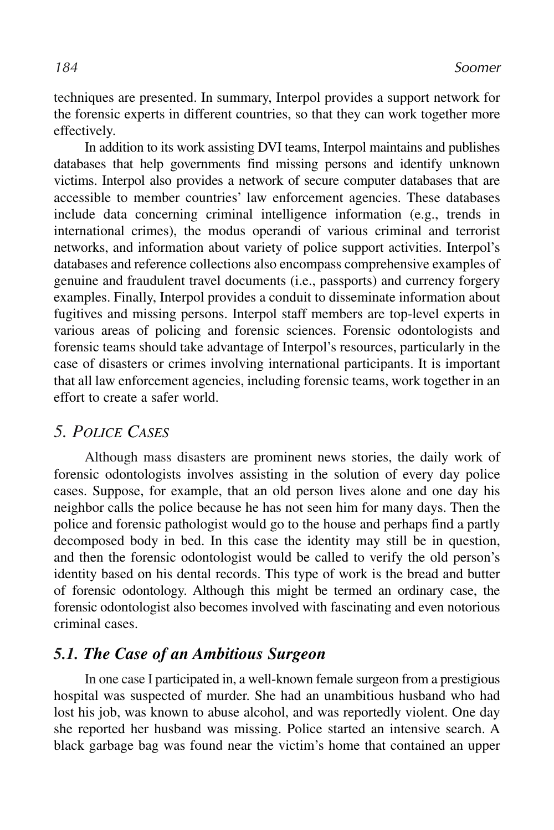techniques are presented. In summary, Interpol provides a support network for the forensic experts in different countries, so that they can work together more effectively.

In addition to its work assisting DVI teams, Interpol maintains and publishes databases that help governments find missing persons and identify unknown victims. Interpol also provides a network of secure computer databases that are accessible to member countries' law enforcement agencies. These databases include data concerning criminal intelligence information (e.g., trends in international crimes), the modus operandi of various criminal and terrorist networks, and information about variety of police support activities. Interpol's databases and reference collections also encompass comprehensive examples of genuine and fraudulent travel documents (i.e., passports) and currency forgery examples. Finally, Interpol provides a conduit to disseminate information about fugitives and missing persons. Interpol staff members are top-level experts in various areas of policing and forensic sciences. Forensic odontologists and forensic teams should take advantage of Interpol's resources, particularly in the case of disasters or crimes involving international participants. It is important that all law enforcement agencies, including forensic teams, work together in an effort to create a safer world.

#### *5. POLICE CASES*

Although mass disasters are prominent news stories, the daily work of forensic odontologists involves assisting in the solution of every day police cases. Suppose, for example, that an old person lives alone and one day his neighbor calls the police because he has not seen him for many days. Then the police and forensic pathologist would go to the house and perhaps find a partly decomposed body in bed. In this case the identity may still be in question, and then the forensic odontologist would be called to verify the old person's identity based on his dental records. This type of work is the bread and butter of forensic odontology. Although this might be termed an ordinary case, the forensic odontologist also becomes involved with fascinating and even notorious criminal cases.

## *5.1. The Case of an Ambitious Surgeon*

In one case I participated in, a well-known female surgeon from a prestigious hospital was suspected of murder. She had an unambitious husband who had lost his job, was known to abuse alcohol, and was reportedly violent. One day she reported her husband was missing. Police started an intensive search. A black garbage bag was found near the victim's home that contained an upper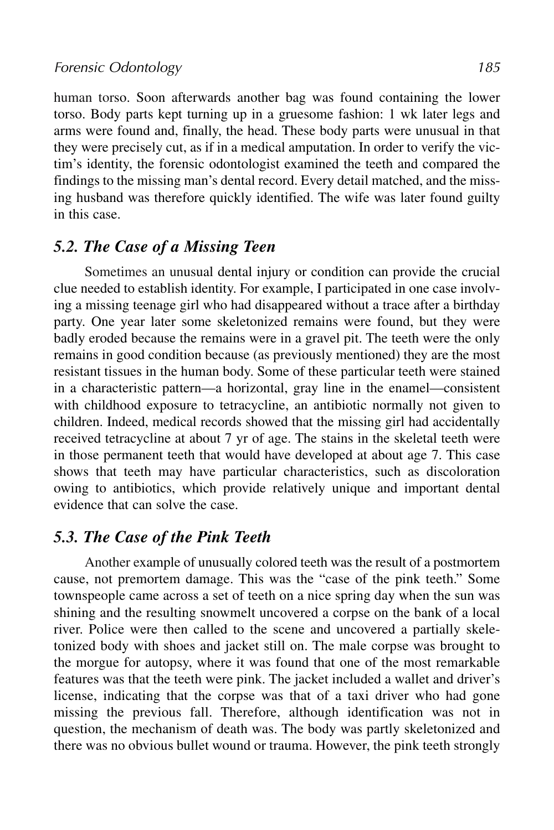human torso. Soon afterwards another bag was found containing the lower torso. Body parts kept turning up in a gruesome fashion: 1 wk later legs and arms were found and, finally, the head. These body parts were unusual in that they were precisely cut, as if in a medical amputation. In order to verify the victim's identity, the forensic odontologist examined the teeth and compared the findings to the missing man's dental record. Every detail matched, and the missing husband was therefore quickly identified. The wife was later found guilty in this case.

# *5.2. The Case of a Missing Teen*

Sometimes an unusual dental injury or condition can provide the crucial clue needed to establish identity. For example, I participated in one case involving a missing teenage girl who had disappeared without a trace after a birthday party. One year later some skeletonized remains were found, but they were badly eroded because the remains were in a gravel pit. The teeth were the only remains in good condition because (as previously mentioned) they are the most resistant tissues in the human body. Some of these particular teeth were stained in a characteristic pattern—a horizontal, gray line in the enamel—consistent with childhood exposure to tetracycline, an antibiotic normally not given to children. Indeed, medical records showed that the missing girl had accidentally received tetracycline at about 7 yr of age. The stains in the skeletal teeth were in those permanent teeth that would have developed at about age 7. This case shows that teeth may have particular characteristics, such as discoloration owing to antibiotics, which provide relatively unique and important dental evidence that can solve the case.

## *5.3. The Case of the Pink Teeth*

Another example of unusually colored teeth was the result of a postmortem cause, not premortem damage. This was the "case of the pink teeth." Some townspeople came across a set of teeth on a nice spring day when the sun was shining and the resulting snowmelt uncovered a corpse on the bank of a local river. Police were then called to the scene and uncovered a partially skeletonized body with shoes and jacket still on. The male corpse was brought to the morgue for autopsy, where it was found that one of the most remarkable features was that the teeth were pink. The jacket included a wallet and driver's license, indicating that the corpse was that of a taxi driver who had gone missing the previous fall. Therefore, although identification was not in question, the mechanism of death was. The body was partly skeletonized and there was no obvious bullet wound or trauma. However, the pink teeth strongly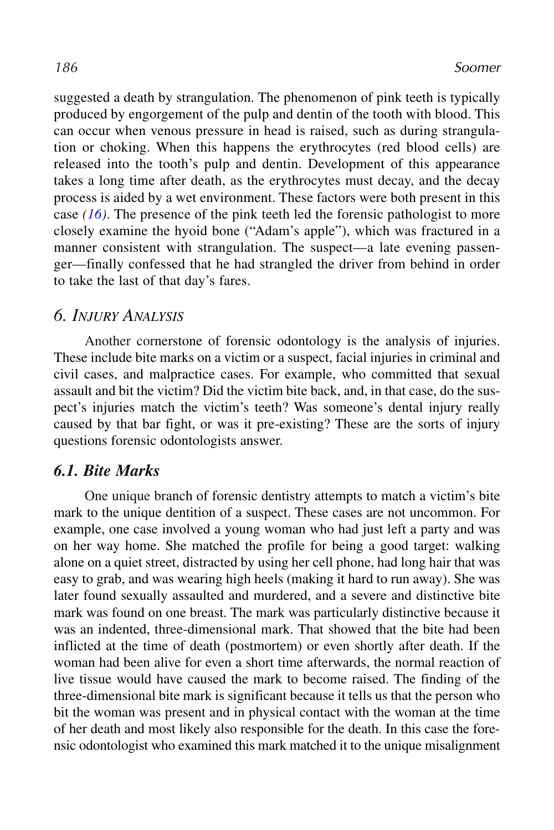suggested a death by strangulation. The phenomenon of pink teeth is typically produced by engorgement of the pulp and dentin of the tooth with blood. This can occur when venous pressure in head is raised, such as during strangulation or choking. When this happens the erythrocytes (red blood cells) are released into the tooth's pulp and dentin. Development of this appearance takes a long time after death, as the erythrocytes must decay, and the decay process is aided by a wet environment. These factors were both present in this case *(16)*. The presence of the pink teeth led the forensic pathologist to more closely examine the hyoid bone ("Adam's apple"), which was fractured in a manner consistent with strangulation. The suspect—a late evening passenger—finally confessed that he had strangled the driver from behind in order to take the last of that day's fares.

## *6. INJURY ANALYSIS*

Another cornerstone of forensic odontology is the analysis of injuries. These include bite marks on a victim or a suspect, facial injuries in criminal and civil cases, and malpractice cases. For example, who committed that sexual assault and bit the victim? Did the victim bite back, and, in that case, do the suspect's injuries match the victim's teeth? Was someone's dental injury really caused by that bar fight, or was it pre-existing? These are the sorts of injury questions forensic odontologists answer.

## *6.1. Bite Marks*

One unique branch of forensic dentistry attempts to match a victim's bite mark to the unique dentition of a suspect. These cases are not uncommon. For example, one case involved a young woman who had just left a party and was on her way home. She matched the profile for being a good target: walking alone on a quiet street, distracted by using her cell phone, had long hair that was easy to grab, and was wearing high heels (making it hard to run away). She was later found sexually assaulted and murdered, and a severe and distinctive bite mark was found on one breast. The mark was particularly distinctive because it was an indented, three-dimensional mark. That showed that the bite had been inflicted at the time of death (postmortem) or even shortly after death. If the woman had been alive for even a short time afterwards, the normal reaction of live tissue would have caused the mark to become raised. The finding of the three-dimensional bite mark is significant because it tells us that the person who bit the woman was present and in physical contact with the woman at the time of her death and most likely also responsible for the death. In this case the forensic odontologist who examined this mark matched it to the unique misalignment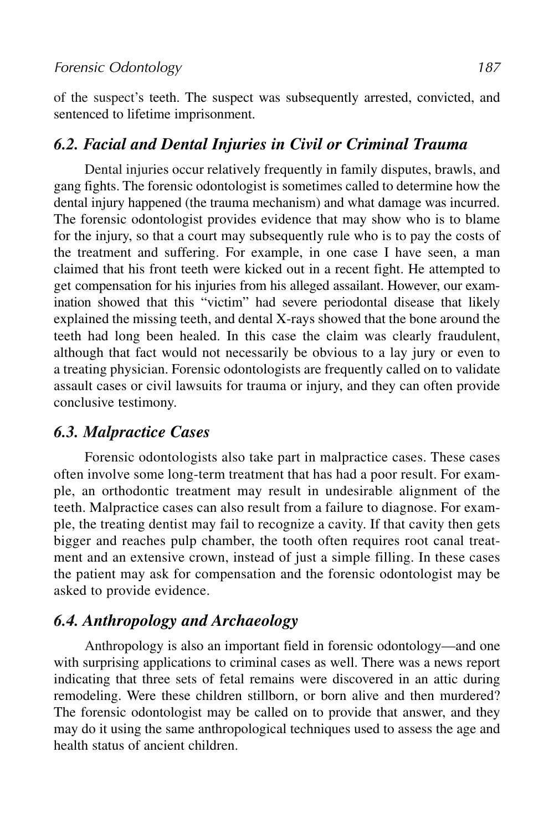of the suspect's teeth. The suspect was subsequently arrested, convicted, and sentenced to lifetime imprisonment.

## *6.2. Facial and Dental Injuries in Civil or Criminal Trauma*

Dental injuries occur relatively frequently in family disputes, brawls, and gang fights. The forensic odontologist is sometimes called to determine how the dental injury happened (the trauma mechanism) and what damage was incurred. The forensic odontologist provides evidence that may show who is to blame for the injury, so that a court may subsequently rule who is to pay the costs of the treatment and suffering. For example, in one case I have seen, a man claimed that his front teeth were kicked out in a recent fight. He attempted to get compensation for his injuries from his alleged assailant. However, our examination showed that this "victim" had severe periodontal disease that likely explained the missing teeth, and dental X-rays showed that the bone around the teeth had long been healed. In this case the claim was clearly fraudulent, although that fact would not necessarily be obvious to a lay jury or even to a treating physician. Forensic odontologists are frequently called on to validate assault cases or civil lawsuits for trauma or injury, and they can often provide conclusive testimony.

## *6.3. Malpractice Cases*

Forensic odontologists also take part in malpractice cases. These cases often involve some long-term treatment that has had a poor result. For example, an orthodontic treatment may result in undesirable alignment of the teeth. Malpractice cases can also result from a failure to diagnose. For example, the treating dentist may fail to recognize a cavity. If that cavity then gets bigger and reaches pulp chamber, the tooth often requires root canal treatment and an extensive crown, instead of just a simple filling. In these cases the patient may ask for compensation and the forensic odontologist may be asked to provide evidence.

# *6.4. Anthropology and Archaeology*

Anthropology is also an important field in forensic odontology—and one with surprising applications to criminal cases as well. There was a news report indicating that three sets of fetal remains were discovered in an attic during remodeling. Were these children stillborn, or born alive and then murdered? The forensic odontologist may be called on to provide that answer, and they may do it using the same anthropological techniques used to assess the age and health status of ancient children.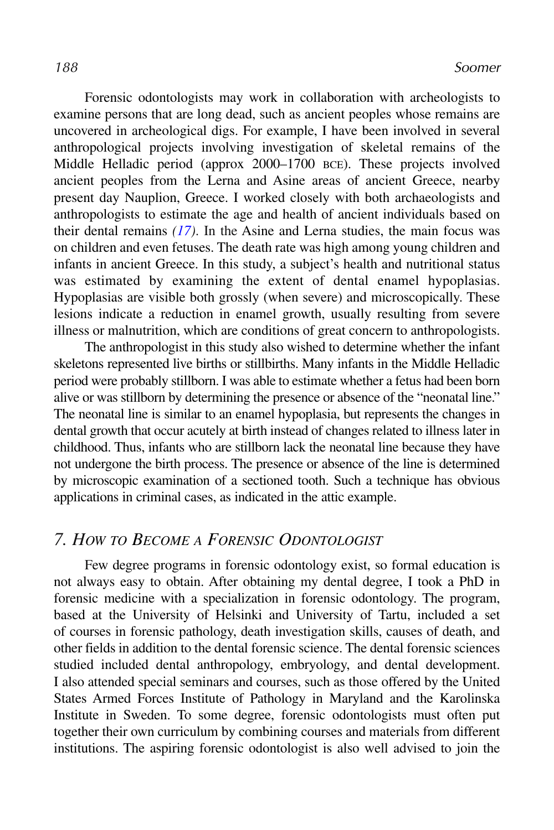Forensic odontologists may work in collaboration with archeologists to examine persons that are long dead, such as ancient peoples whose remains are uncovered in archeological digs. For example, I have been involved in several anthropological projects involving investigation of skeletal remains of the Middle Helladic period (approx 2000–1700 BCE). These projects involved ancient peoples from the Lerna and Asine areas of ancient Greece, nearby present day Nauplion, Greece. I worked closely with both archaeologists and anthropologists to estimate the age and health of ancient individuals based on their dental remains *(17)*. In the Asine and Lerna studies, the main focus was on children and even fetuses. The death rate was high among young children and infants in ancient Greece. In this study, a subject's health and nutritional status was estimated by examining the extent of dental enamel hypoplasias. Hypoplasias are visible both grossly (when severe) and microscopically. These lesions indicate a reduction in enamel growth, usually resulting from severe illness or malnutrition, which are conditions of great concern to anthropologists.

The anthropologist in this study also wished to determine whether the infant skeletons represented live births or stillbirths. Many infants in the Middle Helladic period were probably stillborn. I was able to estimate whether a fetus had been born alive or was stillborn by determining the presence or absence of the "neonatal line." The neonatal line is similar to an enamel hypoplasia, but represents the changes in dental growth that occur acutely at birth instead of changes related to illness later in childhood. Thus, infants who are stillborn lack the neonatal line because they have not undergone the birth process. The presence or absence of the line is determined by microscopic examination of a sectioned tooth. Such a technique has obvious applications in criminal cases, as indicated in the attic example.

## *7. HOW TO BECOME A FORENSIC ODONTOLOGIST*

Few degree programs in forensic odontology exist, so formal education is not always easy to obtain. After obtaining my dental degree, I took a PhD in forensic medicine with a specialization in forensic odontology. The program, based at the University of Helsinki and University of Tartu, included a set of courses in forensic pathology, death investigation skills, causes of death, and other fields in addition to the dental forensic science. The dental forensic sciences studied included dental anthropology, embryology, and dental development. I also attended special seminars and courses, such as those offered by the United States Armed Forces Institute of Pathology in Maryland and the Karolinska Institute in Sweden. To some degree, forensic odontologists must often put together their own curriculum by combining courses and materials from different institutions. The aspiring forensic odontologist is also well advised to join the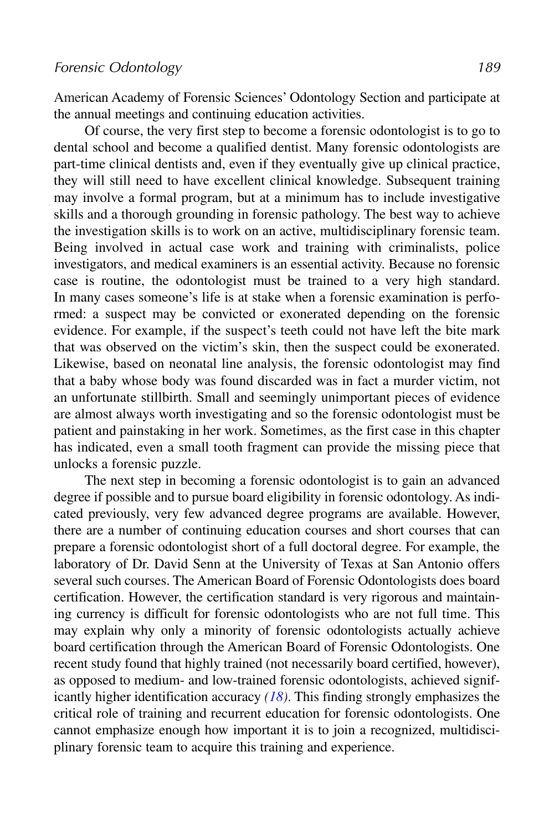American Academy of Forensic Sciences' Odontology Section and participate at the annual meetings and continuing education activities.

Of course, the very first step to become a forensic odontologist is to go to dental school and become a qualified dentist. Many forensic odontologists are part-time clinical dentists and, even if they eventually give up clinical practice, they will still need to have excellent clinical knowledge. Subsequent training may involve a formal program, but at a minimum has to include investigative skills and a thorough grounding in forensic pathology. The best way to achieve the investigation skills is to work on an active, multidisciplinary forensic team. Being involved in actual case work and training with criminalists, police investigators, and medical examiners is an essential activity. Because no forensic case is routine, the odontologist must be trained to a very high standard. In many cases someone's life is at stake when a forensic examination is performed: a suspect may be convicted or exonerated depending on the forensic evidence. For example, if the suspect's teeth could not have left the bite mark that was observed on the victim's skin, then the suspect could be exonerated. Likewise, based on neonatal line analysis, the forensic odontologist may find that a baby whose body was found discarded was in fact a murder victim, not an unfortunate stillbirth. Small and seemingly unimportant pieces of evidence are almost always worth investigating and so the forensic odontologist must be patient and painstaking in her work. Sometimes, as the first case in this chapter has indicated, even a small tooth fragment can provide the missing piece that unlocks a forensic puzzle.

The next step in becoming a forensic odontologist is to gain an advanced degree if possible and to pursue board eligibility in forensic odontology. As indicated previously, very few advanced degree programs are available. However, there are a number of continuing education courses and short courses that can prepare a forensic odontologist short of a full doctoral degree. For example, the laboratory of Dr. David Senn at the University of Texas at San Antonio offers several such courses. The American Board of Forensic Odontologists does board certification. However, the certification standard is very rigorous and maintaining currency is difficult for forensic odontologists who are not full time. This may explain why only a minority of forensic odontologists actually achieve board certification through the American Board of Forensic Odontologists. One recent study found that highly trained (not necessarily board certified, however), as opposed to medium- and low-trained forensic odontologists, achieved significantly higher identification accuracy *(18)*. This finding strongly emphasizes the critical role of training and recurrent education for forensic odontologists. One cannot emphasize enough how important it is to join a recognized, multidisciplinary forensic team to acquire this training and experience.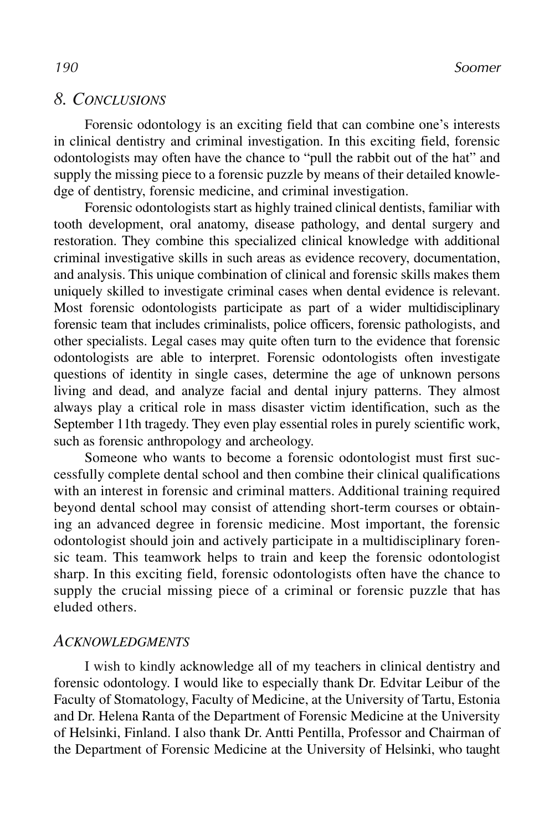#### *8. CONCLUSIONS*

Forensic odontology is an exciting field that can combine one's interests in clinical dentistry and criminal investigation. In this exciting field, forensic odontologists may often have the chance to "pull the rabbit out of the hat" and supply the missing piece to a forensic puzzle by means of their detailed knowledge of dentistry, forensic medicine, and criminal investigation.

Forensic odontologists start as highly trained clinical dentists, familiar with tooth development, oral anatomy, disease pathology, and dental surgery and restoration. They combine this specialized clinical knowledge with additional criminal investigative skills in such areas as evidence recovery, documentation, and analysis. This unique combination of clinical and forensic skills makes them uniquely skilled to investigate criminal cases when dental evidence is relevant. Most forensic odontologists participate as part of a wider multidisciplinary forensic team that includes criminalists, police officers, forensic pathologists, and other specialists. Legal cases may quite often turn to the evidence that forensic odontologists are able to interpret. Forensic odontologists often investigate questions of identity in single cases, determine the age of unknown persons living and dead, and analyze facial and dental injury patterns. They almost always play a critical role in mass disaster victim identification, such as the September 11th tragedy. They even play essential roles in purely scientific work, such as forensic anthropology and archeology.

Someone who wants to become a forensic odontologist must first successfully complete dental school and then combine their clinical qualifications with an interest in forensic and criminal matters. Additional training required beyond dental school may consist of attending short-term courses or obtaining an advanced degree in forensic medicine. Most important, the forensic odontologist should join and actively participate in a multidisciplinary forensic team. This teamwork helps to train and keep the forensic odontologist sharp. In this exciting field, forensic odontologists often have the chance to supply the crucial missing piece of a criminal or forensic puzzle that has eluded others.

#### *ACKNOWLEDGMENTS*

I wish to kindly acknowledge all of my teachers in clinical dentistry and forensic odontology. I would like to especially thank Dr. Edvitar Leibur of the Faculty of Stomatology, Faculty of Medicine, at the University of Tartu, Estonia and Dr. Helena Ranta of the Department of Forensic Medicine at the University of Helsinki, Finland. I also thank Dr. Antti Pentilla, Professor and Chairman of the Department of Forensic Medicine at the University of Helsinki, who taught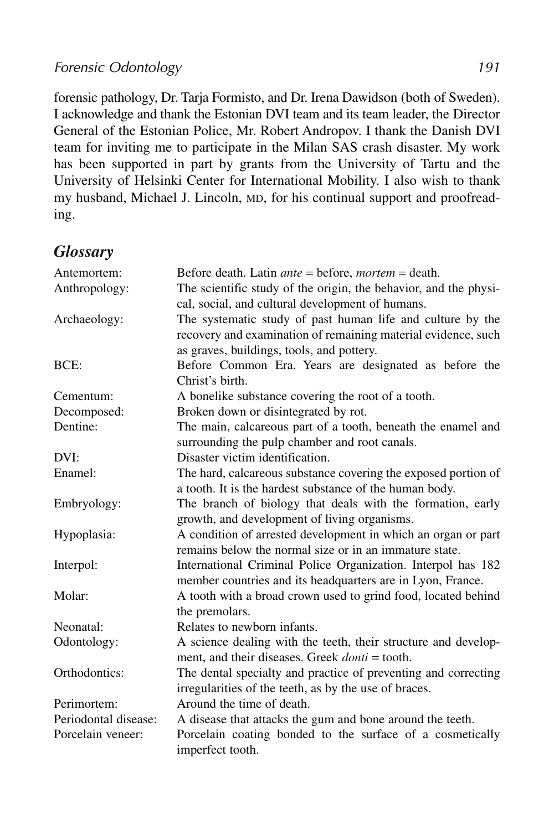#### Forensic Odontology 191

forensic pathology, Dr. Tarja Formisto, and Dr. Irena Dawidson (both of Sweden). I acknowledge and thank the Estonian DVI team and its team leader, the Director General of the Estonian Police, Mr. Robert Andropov. I thank the Danish DVI team for inviting me to participate in the Milan SAS crash disaster. My work has been supported in part by grants from the University of Tartu and the University of Helsinki Center for International Mobility. I also wish to thank my husband, Michael J. Lincoln, MD, for his continual support and proofreading.

## *Glossary*

| Antemortem:          | Before death. Latin $ante = before$ , mortem = death.            |
|----------------------|------------------------------------------------------------------|
| Anthropology:        | The scientific study of the origin, the behavior, and the physi- |
|                      | cal, social, and cultural development of humans.                 |
| Archaeology:         | The systematic study of past human life and culture by the       |
|                      | recovery and examination of remaining material evidence, such    |
|                      | as graves, buildings, tools, and pottery.                        |
| BCE:                 | Before Common Era. Years are designated as before the            |
|                      | Christ's birth.                                                  |
| Cementum:            | A bonelike substance covering the root of a tooth.               |
| Decomposed:          | Broken down or disintegrated by rot.                             |
| Dentine:             | The main, calcareous part of a tooth, beneath the enamel and     |
|                      | surrounding the pulp chamber and root canals.                    |
| DVI:                 | Disaster victim identification.                                  |
| Enamel:              | The hard, calcareous substance covering the exposed portion of   |
|                      | a tooth. It is the hardest substance of the human body.          |
| Embryology:          | The branch of biology that deals with the formation, early       |
|                      | growth, and development of living organisms.                     |
| Hypoplasia:          | A condition of arrested development in which an organ or part    |
|                      | remains below the normal size or in an immature state.           |
| Interpol:            | International Criminal Police Organization. Interpol has 182     |
|                      | member countries and its headquarters are in Lyon, France.       |
| Molar:               | A tooth with a broad crown used to grind food, located behind    |
|                      | the premolars.                                                   |
| Neonatal:            | Relates to newborn infants.                                      |
| Odontology:          | A science dealing with the teeth, their structure and develop-   |
|                      | ment, and their diseases. Greek <i>donti</i> = tooth.            |
| Orthodontics:        | The dental specialty and practice of preventing and correcting   |
|                      | irregularities of the teeth, as by the use of braces.            |
| Perimortem:          | Around the time of death.                                        |
| Periodontal disease: | A disease that attacks the gum and bone around the teeth.        |
| Porcelain veneer:    | Porcelain coating bonded to the surface of a cosmetically        |
|                      | imperfect tooth.                                                 |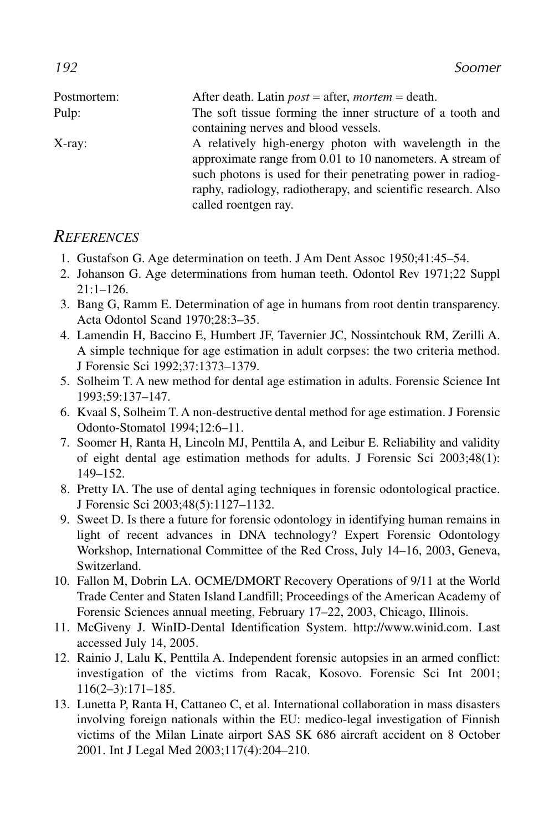| Postmortem: | After death. Latin $post = after$ , mortem = death.           |
|-------------|---------------------------------------------------------------|
| Pulp:       | The soft tissue forming the inner structure of a tooth and    |
|             | containing nerves and blood vessels.                          |
| $X$ -ray:   | A relatively high-energy photon with wavelength in the        |
|             | approximate range from 0.01 to 10 nanometers. A stream of     |
|             | such photons is used for their penetrating power in radiog-   |
|             | raphy, radiology, radiotherapy, and scientific research. Also |
|             | called roentgen ray.                                          |

## *REFERENCES*

- 1. Gustafson G. Age determination on teeth. J Am Dent Assoc 1950;41:45–54.
- 2. Johanson G. Age determinations from human teeth. Odontol Rev 1971;22 Suppl 21:1–126.
- 3. Bang G, Ramm E. Determination of age in humans from root dentin transparency. Acta Odontol Scand 1970;28:3–35.
- 4. Lamendin H, Baccino E, Humbert JF, Tavernier JC, Nossintchouk RM, Zerilli A. A simple technique for age estimation in adult corpses: the two criteria method. J Forensic Sci 1992;37:1373–1379.
- 5. Solheim T. A new method for dental age estimation in adults. Forensic Science Int 1993;59:137–147.
- 6. Kvaal S, Solheim T. A non-destructive dental method for age estimation. J Forensic Odonto-Stomatol 1994;12:6–11.
- 7. Soomer H, Ranta H, Lincoln MJ, Penttila A, and Leibur E. Reliability and validity of eight dental age estimation methods for adults. J Forensic Sci 2003;48(1): 149–152.
- 8. Pretty IA. The use of dental aging techniques in forensic odontological practice. J Forensic Sci 2003;48(5):1127–1132.
- 9. Sweet D. Is there a future for forensic odontology in identifying human remains in light of recent advances in DNA technology? Expert Forensic Odontology Workshop, International Committee of the Red Cross, July 14–16, 2003, Geneva, Switzerland.
- 10. Fallon M, Dobrin LA. OCME/DMORT Recovery Operations of 9/11 at the World Trade Center and Staten Island Landfill; Proceedings of the American Academy of Forensic Sciences annual meeting, February 17–22, 2003, Chicago, Illinois.
- 11. McGiveny J. WinID-Dental Identification System. http://www.winid.com. Last accessed July 14, 2005.
- 12. Rainio J, Lalu K, Penttila A. Independent forensic autopsies in an armed conflict: investigation of the victims from Racak, Kosovo. Forensic Sci Int 2001; 116(2–3):171–185.
- 13. Lunetta P, Ranta H, Cattaneo C, et al. International collaboration in mass disasters involving foreign nationals within the EU: medico-legal investigation of Finnish victims of the Milan Linate airport SAS SK 686 aircraft accident on 8 October 2001. Int J Legal Med 2003;117(4):204–210.